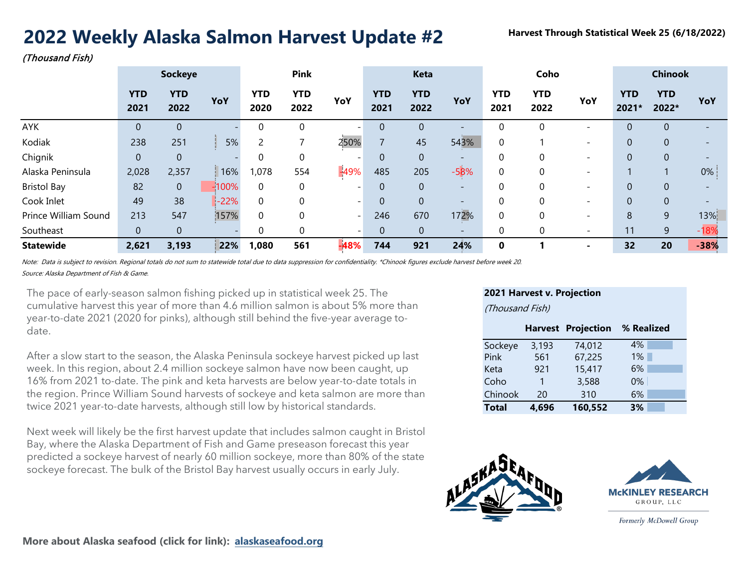## **Harvest Through Statistical Week 25 (6/18/2022)**

## **2022 Weekly Alaska Salmon Harvest Update #2**

(Thousand Fish)

|                      |                    | <b>Sockeye</b>     |          |                    | <b>Pink</b>        |                          |                    | <b>Keta</b>        |                          |                    | Coho               |                          |                     | <b>Chinook</b>      |        |
|----------------------|--------------------|--------------------|----------|--------------------|--------------------|--------------------------|--------------------|--------------------|--------------------------|--------------------|--------------------|--------------------------|---------------------|---------------------|--------|
|                      | <b>YTD</b><br>2021 | <b>YTD</b><br>2022 | YoY      | <b>YTD</b><br>2020 | <b>YTD</b><br>2022 | YoY                      | <b>YTD</b><br>2021 | <b>YTD</b><br>2022 | YoY                      | <b>YTD</b><br>2021 | <b>YTD</b><br>2022 | YoY                      | <b>YTD</b><br>2021* | <b>YTD</b><br>2022* | YoY    |
| AYK                  | 0                  | $\theta$           |          | 0                  | $\theta$           |                          | $\overline{0}$     | 0                  |                          |                    | 0                  |                          | $\boldsymbol{0}$    | $\mathbf{0}$        |        |
| Kodiak               | 238                | 251                | 5%       |                    |                    | 250%                     | $\overline{7}$     | 45                 | 543%                     | 0                  |                    | $\overline{\phantom{a}}$ | $\boldsymbol{0}$    | $\overline{0}$      |        |
| Chignik              | $\boldsymbol{0}$   | $\overline{0}$     |          | $\Omega$           | $\mathbf 0$        |                          | $\mathbf{0}$       | $\theta$           | $\overline{\phantom{0}}$ |                    | 0                  |                          | $\boldsymbol{0}$    | $\mathbf{0}$        |        |
| Alaska Peninsula     | 2,028              | 2,357              | 16%      | 078                | 554                | $-49%$                   | 485                | 205                | $-58%$                   |                    | 0                  | $\overline{\phantom{a}}$ |                     |                     | $0\%$  |
| <b>Bristol Bay</b>   | 82                 | $\overline{0}$     | $-100\%$ | $\overline{0}$     | $\mathbf 0$        |                          | $\overline{0}$     | $\overline{0}$     | $\overline{\phantom{0}}$ |                    | 0                  |                          | $\theta$            | $\Omega$            |        |
| Cook Inlet           | 49                 | 38                 | $-22%$   | $\mathbf 0$        | $\mathbf 0$        | $\overline{\phantom{0}}$ | $\overline{0}$     | $\overline{0}$     | $\overline{\phantom{0}}$ |                    | 0                  | $\overline{\phantom{a}}$ | $\boldsymbol{0}$    | $\overline{0}$      |        |
| Prince William Sound | 213                | 547                | 157%     | $\mathbf 0$        | $\mathbf 0$        |                          | 246                | 670                | 172%                     | $\Omega$           | 0                  |                          | 8                   | 9                   | 13%    |
| Southeast            | $\boldsymbol{0}$   | $\overline{0}$     |          | 0                  | $\mathbf 0$        | $\overline{\phantom{0}}$ | $\overline{0}$     | $\mathbf{0}$       | $\overline{\phantom{0}}$ |                    | $\mathbf 0$        | $\overline{\phantom{a}}$ | 11                  | 9                   | $-18%$ |
| <b>Statewide</b>     | 2,621              | 3,193              | 22%      | 080,               | 561                | $-48%$                   | 744                | 921                | 24%                      | 0                  |                    | $\blacksquare$           | 32                  | 20                  | $-38%$ |

Note: Data is subject to revision. Regional totals do not sum to statewide total due to data suppression for confidentiality. \*Chinook figures exclude harvest before week 20. Source: Alaska Department of Fish & Game.

The pace of early-season salmon fishing picked up in statistical week 25. The cumulative harvest this year of more than 4.6 million salmon is about 5% more than year-to-date 2021 (2020 for pinks), although still behind the five-year average todate.

After a slow start to the season, the Alaska Peninsula sockeye harvest picked up last week. In this region, about 2.4 million sockeye salmon have now been caught, up 16% from 2021 to-date. The pink and keta harvests are below year-to-date totals in the region. Prince William Sound harvests of sockeye and keta salmon are more than twice 2021 year-to-date harvests, although still low by historical standards.

Next week will likely be the first harvest update that includes salmon caught in Bristol Bay, where the Alaska Department of Fish and Game preseason forecast this year predicted a sockeye harvest of nearly 60 million sockeye, more than 80% of the state sockeye forecast. The bulk of the Bristol Bay harvest usually occurs in early July.

## **2021 Harvest v. Projection**

(Thousand Fish)

|              |       | <b>Harvest Projection</b> | % Realized |  |
|--------------|-------|---------------------------|------------|--|
| Sockeye      | 3,193 | 74,012                    | 4%         |  |
| Pink         | 561   | 67,225                    | $1\%$      |  |
| Keta         | 921   | 15,417                    | 6%         |  |
| Coho         | 1     | 3,588                     | $0\%$      |  |
| Chinook      | 20    | 310                       | 6%         |  |
| <b>Total</b> | 4,696 | 160,552                   | 3%         |  |





Formerly McDowell Group